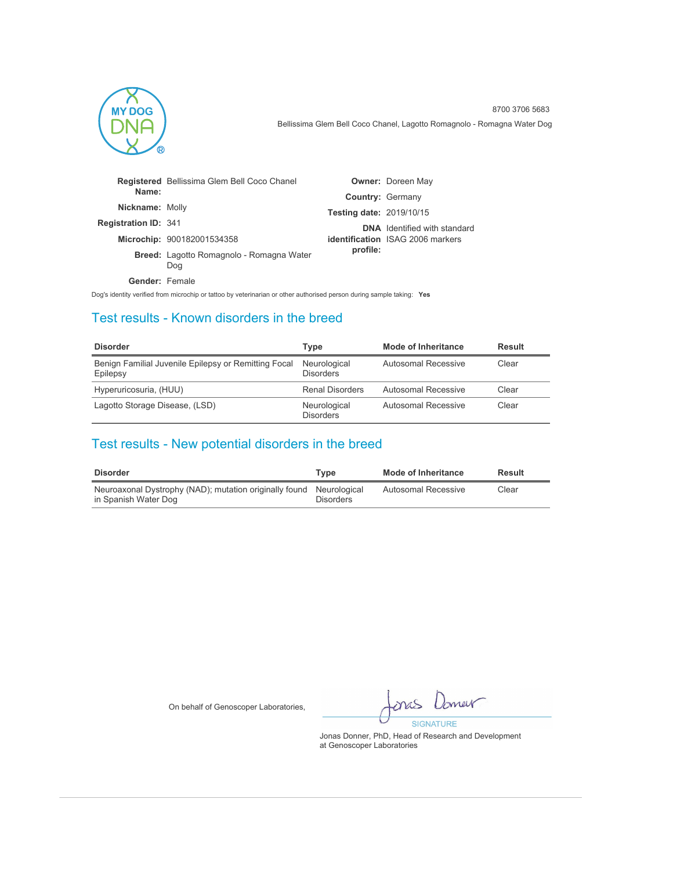

|                             | <b>Registered</b> Bellissima Glem Bell Coco Chanel     |                                 | <b>Owner: Doreen May</b>                |
|-----------------------------|--------------------------------------------------------|---------------------------------|-----------------------------------------|
| Name:                       |                                                        | <b>Country: Germany</b>         |                                         |
| Nickname: Molly             |                                                        | <b>Testing date: 2019/10/15</b> |                                         |
| <b>Registration ID: 341</b> |                                                        |                                 | <b>DNA</b> Identified with standard     |
|                             | Microchip: 900182001534358                             |                                 | <b>identification</b> ISAG 2006 markers |
|                             | <b>Breed:</b> Lagotto Romagnolo - Romagna Water<br>Dog | profile:                        |                                         |
| Gender: Female              |                                                        |                                 |                                         |

Dog's identity verified from microchip or tattoo by veterinarian or other authorised person during sample taking: **Yes**

### Test results - Known disorders in the breed

| <b>Disorder</b>                                                  | Type                             | Mode of Inheritance | Result |
|------------------------------------------------------------------|----------------------------------|---------------------|--------|
| Benign Familial Juvenile Epilepsy or Remitting Focal<br>Epilepsy | Neurological<br><b>Disorders</b> | Autosomal Recessive | Clear  |
| Hyperuricosuria, (HUU)                                           | <b>Renal Disorders</b>           | Autosomal Recessive | Clear  |
| Lagotto Storage Disease, (LSD)                                   | Neurological<br><b>Disorders</b> | Autosomal Recessive | Clear  |

## Test results - New potential disorders in the breed

| <b>Disorder</b>                                                                             | Tvpe             | Mode of Inheritance | Result |
|---------------------------------------------------------------------------------------------|------------------|---------------------|--------|
| Neuroaxonal Dystrophy (NAD); mutation originally found Neurological<br>in Spanish Water Dog | <b>Disorders</b> | Autosomal Recessive | Clear  |

On behalf of Genoscoper Laboratories,

omer pra **SIGNATURE**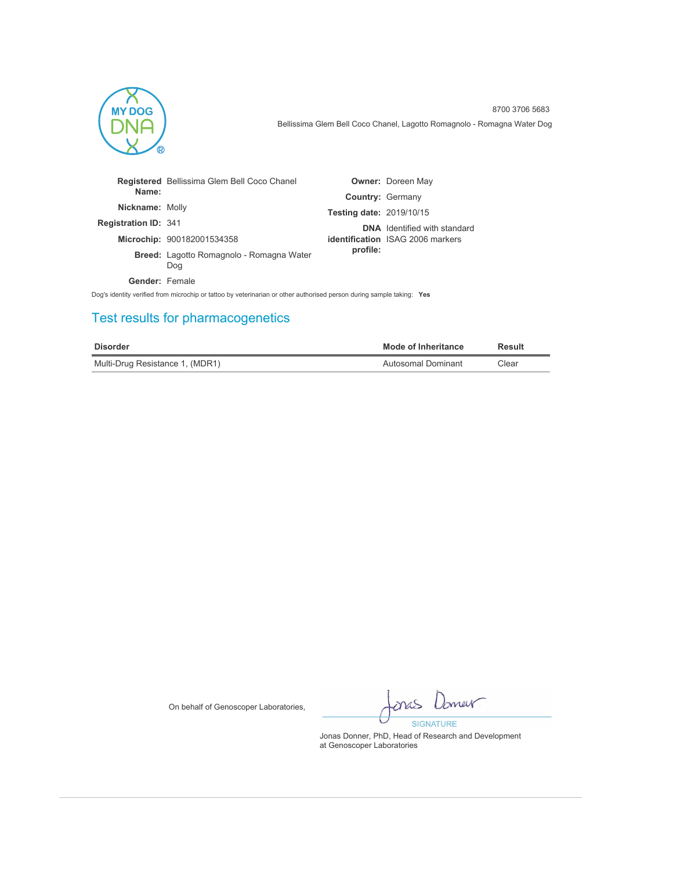

|                             | <b>Registered</b> Bellissima Glem Bell Coco Chanel |                                 | <b>Owner: Doreen May</b>                |
|-----------------------------|----------------------------------------------------|---------------------------------|-----------------------------------------|
| Name:                       |                                                    |                                 | <b>Country: Germany</b>                 |
| <b>Nickname: Molly</b>      |                                                    | <b>Testing date: 2019/10/15</b> |                                         |
| <b>Registration ID: 341</b> |                                                    |                                 | <b>DNA</b> Identified with standard     |
|                             | Microchip: 900182001534358                         |                                 | <b>identification</b> ISAG 2006 markers |
|                             | Breed: Lagotto Romagnolo - Romagna Water<br>Dog    | profile:                        |                                         |
| Gender: Female              |                                                    |                                 |                                         |
|                             |                                                    |                                 |                                         |

Dog's identity verified from microchip or tattoo by veterinarian or other authorised person during sample taking: **Yes**

# Test results for pharmacogenetics

| <b>Disorder</b>                 | <b>Mode of Inheritance</b> | Result |
|---------------------------------|----------------------------|--------|
| Multi-Drug Resistance 1, (MDR1) | Autosomal Dominant         | Clear  |

On behalf of Genoscoper Laboratories,

Imer once **SIGNATURE**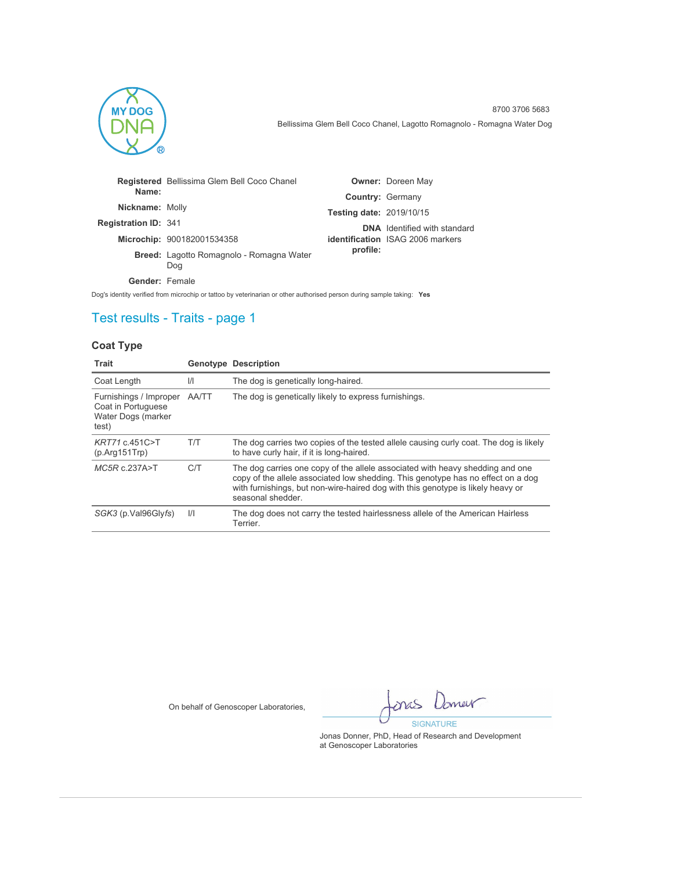

|                             | <b>Registered</b> Bellissima Glem Bell Coco Chanel     |                                 | <b>Owner: Doreen May</b>                |
|-----------------------------|--------------------------------------------------------|---------------------------------|-----------------------------------------|
| Name:                       |                                                        | <b>Country: Germany</b>         |                                         |
| <b>Nickname: Molly</b>      |                                                        | <b>Testing date: 2019/10/15</b> |                                         |
| <b>Registration ID: 341</b> |                                                        |                                 | <b>DNA</b> Identified with standard     |
|                             | Microchip: 900182001534358                             |                                 | <b>identification</b> ISAG 2006 markers |
|                             | <b>Breed:</b> Lagotto Romagnolo - Romagna Water<br>Dog | profile:                        |                                         |
| Gender: Female              |                                                        |                                 |                                         |

Dog's identity verified from microchip or tattoo by veterinarian or other authorised person during sample taking: **Yes**

## Test results - Traits - page 1

### **Coat Type**

| Trait                                                                       |               | <b>Genotype Description</b>                                                                                                                                                                                                                                               |
|-----------------------------------------------------------------------------|---------------|---------------------------------------------------------------------------------------------------------------------------------------------------------------------------------------------------------------------------------------------------------------------------|
| Coat Length                                                                 | $\mathcal{U}$ | The dog is genetically long-haired.                                                                                                                                                                                                                                       |
| Furnishings / Improper<br>Coat in Portuguese<br>Water Dogs (marker<br>test) | AA/TT         | The dog is genetically likely to express furnishings.                                                                                                                                                                                                                     |
| KRT71 c.451C>T<br>(p. Arg151                                                | T/T           | The dog carries two copies of the tested allele causing curly coat. The dog is likely<br>to have curly hair, if it is long-haired.                                                                                                                                        |
| MC5Rc.237A > T                                                              | C/T           | The dog carries one copy of the allele associated with heavy shedding and one<br>copy of the allele associated low shedding. This genotype has no effect on a dog<br>with furnishings, but non-wire-haired dog with this genotype is likely heavy or<br>seasonal shedder. |
| SGK3 (p.Val96Glyfs)                                                         | $\frac{1}{1}$ | The dog does not carry the tested hairlessness allele of the American Hairless<br>Terrier.                                                                                                                                                                                |

On behalf of Genoscoper Laboratories,

Iomer mas **SIGNATURE**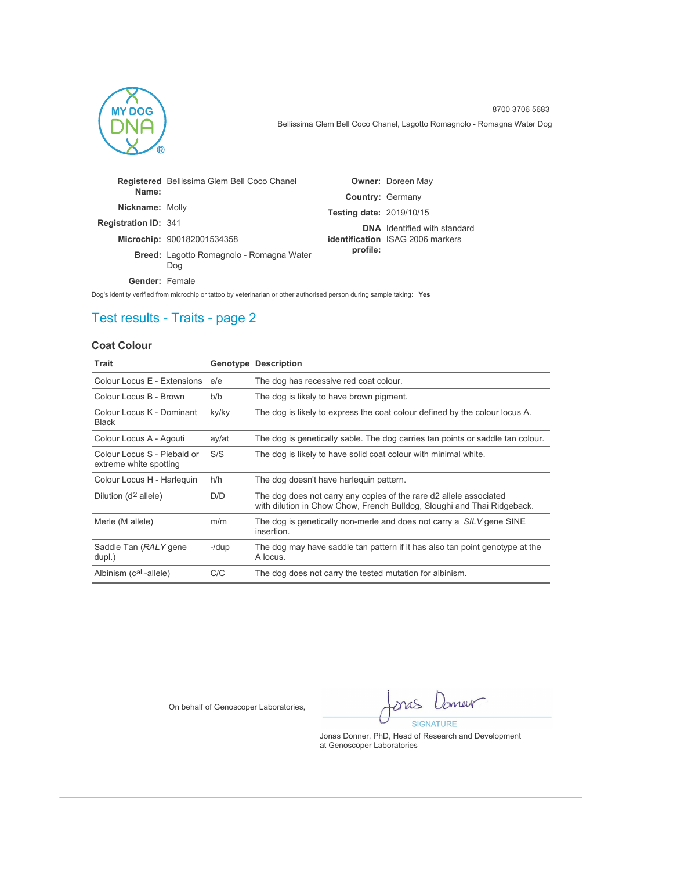

|                             | <b>Registered</b> Bellissima Glem Bell Coco Chanel     |                                 | <b>Owner: Doreen May</b>                |
|-----------------------------|--------------------------------------------------------|---------------------------------|-----------------------------------------|
| Name:                       |                                                        | <b>Country: Germany</b>         |                                         |
| <b>Nickname: Molly</b>      |                                                        | <b>Testing date: 2019/10/15</b> |                                         |
| <b>Registration ID: 341</b> |                                                        |                                 | <b>DNA</b> Identified with standard     |
|                             | Microchip: 900182001534358                             |                                 | <b>identification</b> ISAG 2006 markers |
|                             | <b>Breed:</b> Lagotto Romagnolo - Romagna Water<br>Dog | profile:                        |                                         |
| Gender: Female              |                                                        |                                 |                                         |

Dog's identity verified from microchip or tattoo by veterinarian or other authorised person during sample taking: **Yes**

## Test results - Traits - page 2

### **Coat Colour**

| <b>Trait</b>                                          |       | <b>Genotype Description</b>                                                                                                                   |
|-------------------------------------------------------|-------|-----------------------------------------------------------------------------------------------------------------------------------------------|
| Colour Locus E - Extensions                           | e/e   | The dog has recessive red coat colour.                                                                                                        |
| Colour Locus B - Brown                                | b/b   | The dog is likely to have brown pigment.                                                                                                      |
| Colour Locus K - Dominant<br>Black                    | ky/ky | The dog is likely to express the coat colour defined by the colour locus A.                                                                   |
| Colour Locus A - Agouti                               | ay/at | The dog is genetically sable. The dog carries tan points or saddle tan colour.                                                                |
| Colour Locus S - Piebald or<br>extreme white spotting | S/S   | The dog is likely to have solid coat colour with minimal white.                                                                               |
| Colour Locus H - Harlequin                            | h/h   | The dog doesn't have harlequin pattern.                                                                                                       |
| Dilution (d <sup>2</sup> allele)                      | D/D   | The dog does not carry any copies of the rare d2 allele associated<br>with dilution in Chow Chow, French Bulldog, Sloughi and Thai Ridgeback. |
| Merle (M allele)                                      | m/m   | The dog is genetically non-merle and does not carry a SILV gene SINE<br>insertion.                                                            |
| Saddle Tan (RALY gene<br>dupl.)                       | -/dup | The dog may have saddle tan pattern if it has also tan point genotype at the<br>A locus.                                                      |
| Albinism (caL-allele)                                 | C/C   | The dog does not carry the tested mutation for albinism.                                                                                      |

On behalf of Genoscoper Laboratories,

Jamer ones **SIGNATURE**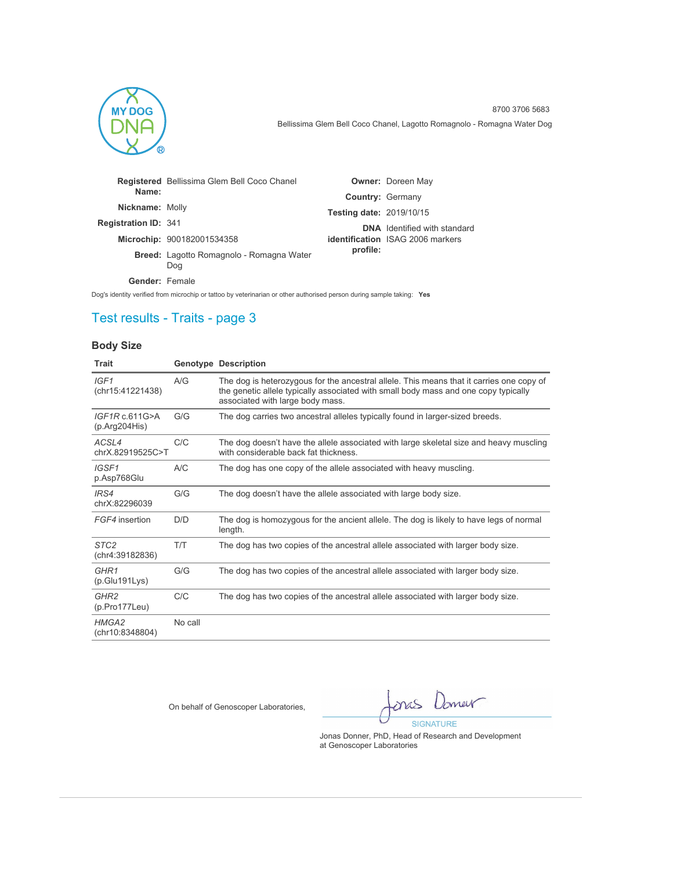

|                             | <b>Registered</b> Bellissima Glem Bell Coco Chanel     |                                 | <b>Owner: Doreen May</b>                |
|-----------------------------|--------------------------------------------------------|---------------------------------|-----------------------------------------|
| Name:                       |                                                        | <b>Country: Germany</b>         |                                         |
| Nickname: Molly             |                                                        | <b>Testing date: 2019/10/15</b> |                                         |
| <b>Registration ID: 341</b> |                                                        |                                 | <b>DNA</b> Identified with standard     |
|                             | Microchip: 900182001534358                             |                                 | <b>identification</b> ISAG 2006 markers |
|                             | <b>Breed:</b> Lagotto Romagnolo - Romagna Water<br>Dog | profile:                        |                                         |
| <b>Gender: Female</b>       |                                                        |                                 |                                         |

Dog's identity verified from microchip or tattoo by veterinarian or other authorised person during sample taking: **Yes**

## Test results - Traits - page 3

### **Body Size**

| Trait                               |         | <b>Genotype Description</b>                                                                                                                                                                                         |
|-------------------------------------|---------|---------------------------------------------------------------------------------------------------------------------------------------------------------------------------------------------------------------------|
| IGF1<br>(chr15:41221438)            | A/G     | The dog is heterozygous for the ancestral allele. This means that it carries one copy of<br>the genetic allele typically associated with small body mass and one copy typically<br>associated with large body mass. |
| IGF1Rc.611G>A<br>(p. Arg204His)     | G/G     | The dog carries two ancestral alleles typically found in larger-sized breeds.                                                                                                                                       |
| ACSL4<br>chrX.82919525C>T           | C/C     | The dog doesn't have the allele associated with large skeletal size and heavy muscling<br>with considerable back fat thickness.                                                                                     |
| IGSF1<br>p.Asp768Glu                | A/C     | The dog has one copy of the allele associated with heavy muscling.                                                                                                                                                  |
| IRS4<br>chrX:82296039               | G/G     | The dog doesn't have the allele associated with large body size.                                                                                                                                                    |
| FGF4 insertion                      | D/D     | The dog is homozygous for the ancient allele. The dog is likely to have legs of normal<br>length.                                                                                                                   |
| STC <sub>2</sub><br>(chr4:39182836) | T/T     | The dog has two copies of the ancestral allele associated with larger body size.                                                                                                                                    |
| GHR <sub>1</sub><br>(p.Glu191Lys)   | G/G     | The dog has two copies of the ancestral allele associated with larger body size.                                                                                                                                    |
| GHR <sub>2</sub><br>(p.Pro177Leu)   | C/C     | The dog has two copies of the ancestral allele associated with larger body size.                                                                                                                                    |
| HMGA2<br>(chr10:8348804)            | No call |                                                                                                                                                                                                                     |

On behalf of Genoscoper Laboratories,

Jamer pra **SIGNATURE**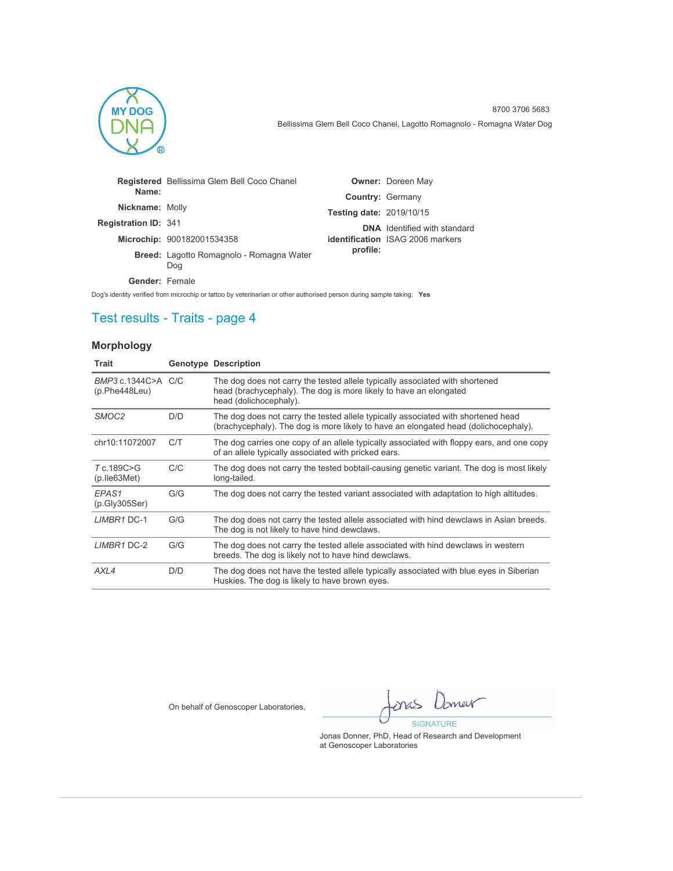

|                             | <b>Registered</b> Bellissima Glem Bell Coco Chanel |                                 | <b>Owner: Doreen May</b>                |
|-----------------------------|----------------------------------------------------|---------------------------------|-----------------------------------------|
| Name:                       |                                                    | Country: Germany                |                                         |
| Nickname: Molly             |                                                    | <b>Testing date: 2019/10/15</b> |                                         |
| <b>Registration ID: 341</b> |                                                    |                                 | <b>DNA</b> Identified with standard     |
|                             | Microchip: 900182001534358                         |                                 | <b>identification</b> ISAG 2006 markers |
|                             | Breed: Lagotto Romagnolo - Romagna Water<br>Dog    | profile:                        |                                         |
| <b>Gender: Female</b>       |                                                    |                                 |                                         |

Dog's identity verified from microchip or tattoo by veterinarian or other authorised person during sample taking: **Yes**

## Test results - Traits - page 4

### **Morphology**

| Trait                                |     | <b>Genotype Description</b>                                                                                                                                                 |
|--------------------------------------|-----|-----------------------------------------------------------------------------------------------------------------------------------------------------------------------------|
| BMP3 c.1344C>A C/C<br>(p.Phe448Leu)  |     | The dog does not carry the tested allele typically associated with shortened<br>head (brachycephaly). The dog is more likely to have an elongated<br>head (dolichocephaly). |
| SMOC <sub>2</sub>                    | D/D | The dog does not carry the tested allele typically associated with shortened head<br>(brachycephaly). The dog is more likely to have an elongated head (dolichocephaly).    |
| chr10:11072007                       | C/T | The dog carries one copy of an allele typically associated with floppy ears, and one copy<br>of an allele typically associated with pricked ears.                           |
| T c.189C>G<br>$(p.$ Ile $63$ Met $)$ | C/C | The dog does not carry the tested bobtail-causing genetic variant. The dog is most likely<br>long-tailed.                                                                   |
| EPAS <sub>1</sub><br>(p.Gly305Ser)   | G/G | The dog does not carry the tested variant associated with adaptation to high altitudes.                                                                                     |
| LIMBR1 DC-1                          | G/G | The dog does not carry the tested allele associated with hind dewclaws in Asian breeds.<br>The dog is not likely to have hind dewclaws.                                     |
| LIMBR1 DC-2                          | G/G | The dog does not carry the tested allele associated with hind dewclaws in western<br>breeds. The dog is likely not to have hind dewclaws.                                   |
| AXL4                                 | D/D | The dog does not have the tested allele typically associated with blue eyes in Siberian<br>Huskies. The dog is likely to have brown eyes.                                   |

On behalf of Genoscoper Laboratories,

Imer mas **SIGNATURE**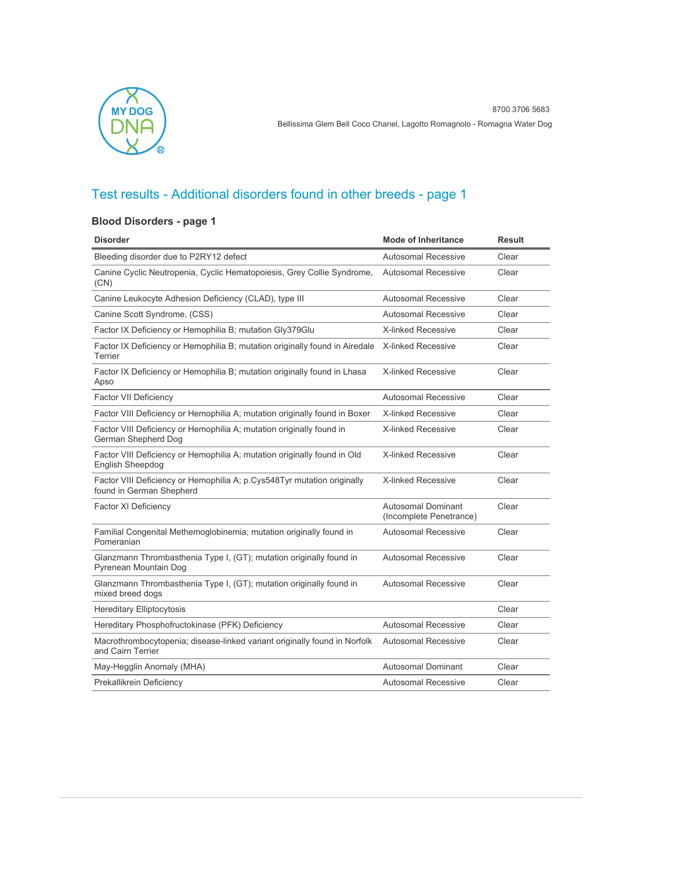

### **Blood Disorders - page 1**

| <b>Disorder</b>                                                                                     | <b>Mode of Inheritance</b>                           | Result |
|-----------------------------------------------------------------------------------------------------|------------------------------------------------------|--------|
| Bleeding disorder due to P2RY12 defect                                                              | <b>Autosomal Recessive</b>                           | Clear  |
| Canine Cyclic Neutropenia, Cyclic Hematopoiesis, Grey Collie Syndrome,<br>(CN)                      | <b>Autosomal Recessive</b>                           | Clear  |
| Canine Leukocyte Adhesion Deficiency (CLAD), type III                                               | <b>Autosomal Recessive</b>                           | Clear  |
| Canine Scott Syndrome, (CSS)                                                                        | <b>Autosomal Recessive</b>                           | Clear  |
| Factor IX Deficiency or Hemophilia B; mutation Gly379Glu                                            | <b>X-linked Recessive</b>                            | Clear  |
| Factor IX Deficiency or Hemophilia B; mutation originally found in Airedale<br>Terrier              | <b>X-linked Recessive</b>                            | Clear  |
| Factor IX Deficiency or Hemophilia B; mutation originally found in Lhasa<br>Apso                    | <b>X-linked Recessive</b>                            | Clear  |
| <b>Factor VII Deficiency</b>                                                                        | <b>Autosomal Recessive</b>                           | Clear  |
| Factor VIII Deficiency or Hemophilia A; mutation originally found in Boxer                          | <b>X-linked Recessive</b>                            | Clear  |
| Factor VIII Deficiency or Hemophilia A; mutation originally found in<br>German Shepherd Dog         | <b>X-linked Recessive</b>                            | Clear  |
| Factor VIII Deficiency or Hemophilia A; mutation originally found in Old<br>English Sheepdog        | <b>X-linked Recessive</b>                            | Clear  |
| Factor VIII Deficiency or Hemophilia A; p.Cys548Tyr mutation originally<br>found in German Shepherd | <b>X-linked Recessive</b>                            | Clear  |
| <b>Factor XI Deficiency</b>                                                                         | <b>Autosomal Dominant</b><br>(Incomplete Penetrance) | Clear  |
| Familial Congenital Methemoglobinemia; mutation originally found in<br>Pomeranian                   | <b>Autosomal Recessive</b>                           | Clear  |
| Glanzmann Thrombasthenia Type I, (GT); mutation originally found in<br>Pyrenean Mountain Dog        | <b>Autosomal Recessive</b>                           | Clear  |
| Glanzmann Thrombasthenia Type I, (GT); mutation originally found in<br>mixed breed dogs             | <b>Autosomal Recessive</b>                           | Clear  |
| <b>Hereditary Elliptocytosis</b>                                                                    |                                                      | Clear  |
| Hereditary Phosphofructokinase (PFK) Deficiency                                                     | <b>Autosomal Recessive</b>                           | Clear  |
| Macrothrombocytopenia; disease-linked variant originally found in Norfolk<br>and Cairn Terrier      | <b>Autosomal Recessive</b>                           | Clear  |
| May-Hegglin Anomaly (MHA)                                                                           | Autosomal Dominant                                   | Clear  |
| Prekallikrein Deficiency                                                                            | Autosomal Recessive                                  | Clear  |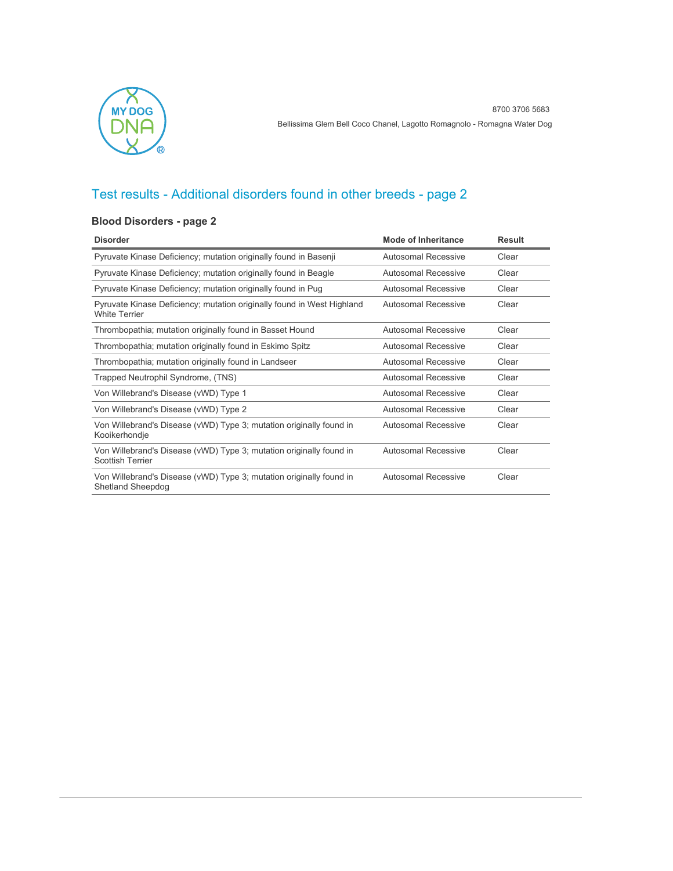

### **Blood Disorders - page 2**

| <b>Disorder</b>                                                                                 | <b>Mode of Inheritance</b> | <b>Result</b> |
|-------------------------------------------------------------------------------------------------|----------------------------|---------------|
| Pyruvate Kinase Deficiency; mutation originally found in Basenji                                | Autosomal Recessive        | Clear         |
| Pyruvate Kinase Deficiency; mutation originally found in Beagle                                 | Autosomal Recessive        | Clear         |
| Pyruvate Kinase Deficiency; mutation originally found in Pug                                    | Autosomal Recessive        | Clear         |
| Pyruvate Kinase Deficiency; mutation originally found in West Highland<br><b>White Terrier</b>  | Autosomal Recessive        | Clear         |
| Thrombopathia; mutation originally found in Basset Hound                                        | Autosomal Recessive        | Clear         |
| Thrombopathia; mutation originally found in Eskimo Spitz                                        | Autosomal Recessive        | Clear         |
| Thrombopathia; mutation originally found in Landseer                                            | <b>Autosomal Recessive</b> | Clear         |
| Trapped Neutrophil Syndrome, (TNS)                                                              | Autosomal Recessive        | Clear         |
| Von Willebrand's Disease (vWD) Type 1                                                           | <b>Autosomal Recessive</b> | Clear         |
| Von Willebrand's Disease (vWD) Type 2                                                           | Autosomal Recessive        | Clear         |
| Von Willebrand's Disease (vWD) Type 3; mutation originally found in<br>Kooikerhondje            | Autosomal Recessive        | Clear         |
| Von Willebrand's Disease (vWD) Type 3; mutation originally found in<br><b>Scottish Terrier</b>  | Autosomal Recessive        | Clear         |
| Von Willebrand's Disease (vWD) Type 3; mutation originally found in<br><b>Shetland Sheepdog</b> | Autosomal Recessive        | Clear         |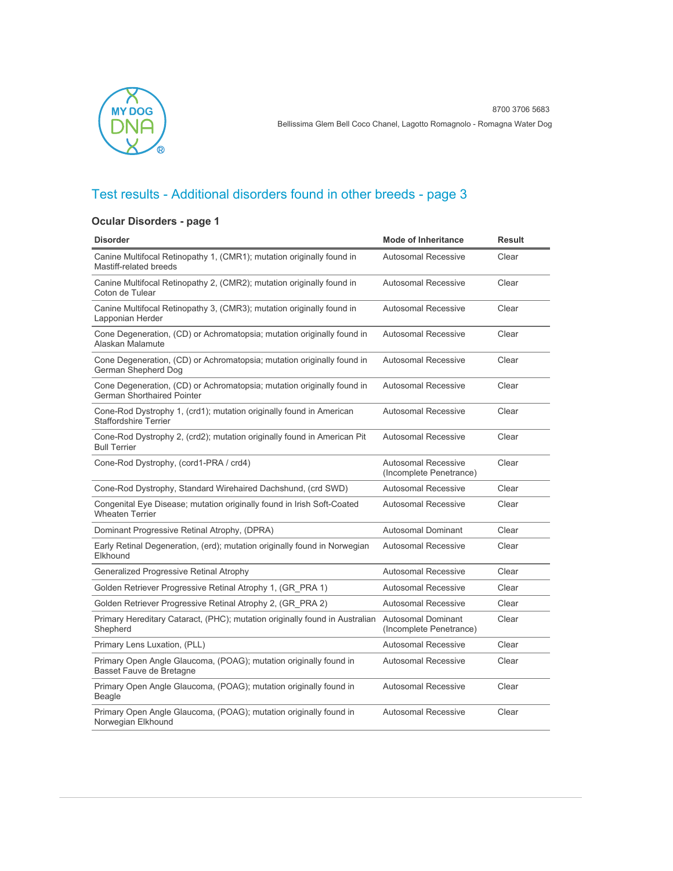

### **Ocular Disorders - page 1**

| <b>Disorder</b>                                                                                             | <b>Mode of Inheritance</b>                            | <b>Result</b> |
|-------------------------------------------------------------------------------------------------------------|-------------------------------------------------------|---------------|
| Canine Multifocal Retinopathy 1, (CMR1); mutation originally found in<br>Mastiff-related breeds             | <b>Autosomal Recessive</b>                            | Clear         |
| Canine Multifocal Retinopathy 2, (CMR2); mutation originally found in<br>Coton de Tulear                    | <b>Autosomal Recessive</b>                            | Clear         |
| Canine Multifocal Retinopathy 3, (CMR3); mutation originally found in<br>Lapponian Herder                   | <b>Autosomal Recessive</b>                            | Clear         |
| Cone Degeneration, (CD) or Achromatopsia; mutation originally found in<br>Alaskan Malamute                  | <b>Autosomal Recessive</b>                            | Clear         |
| Cone Degeneration, (CD) or Achromatopsia; mutation originally found in<br>German Shepherd Dog               | <b>Autosomal Recessive</b>                            | Clear         |
| Cone Degeneration, (CD) or Achromatopsia; mutation originally found in<br><b>German Shorthaired Pointer</b> | <b>Autosomal Recessive</b>                            | Clear         |
| Cone-Rod Dystrophy 1, (crd1); mutation originally found in American<br><b>Staffordshire Terrier</b>         | <b>Autosomal Recessive</b>                            | Clear         |
| Cone-Rod Dystrophy 2, (crd2); mutation originally found in American Pit<br><b>Bull Terrier</b>              | <b>Autosomal Recessive</b>                            | Clear         |
| Cone-Rod Dystrophy, (cord1-PRA / crd4)                                                                      | <b>Autosomal Recessive</b><br>(Incomplete Penetrance) | Clear         |
| Cone-Rod Dystrophy, Standard Wirehaired Dachshund, (crd SWD)                                                | <b>Autosomal Recessive</b>                            | Clear         |
| Congenital Eye Disease; mutation originally found in Irish Soft-Coated<br><b>Wheaten Terrier</b>            | <b>Autosomal Recessive</b>                            | Clear         |
| Dominant Progressive Retinal Atrophy, (DPRA)                                                                | <b>Autosomal Dominant</b>                             | Clear         |
| Early Retinal Degeneration, (erd); mutation originally found in Norwegian<br>Elkhound                       | <b>Autosomal Recessive</b>                            | Clear         |
| <b>Generalized Progressive Retinal Atrophy</b>                                                              | Autosomal Recessive                                   | Clear         |
| Golden Retriever Progressive Retinal Atrophy 1, (GR PRA 1)                                                  | <b>Autosomal Recessive</b>                            | Clear         |
| Golden Retriever Progressive Retinal Atrophy 2, (GR PRA 2)                                                  | <b>Autosomal Recessive</b>                            | Clear         |
| Primary Hereditary Cataract, (PHC); mutation originally found in Australian<br>Shepherd                     | <b>Autosomal Dominant</b><br>(Incomplete Penetrance)  | Clear         |
| Primary Lens Luxation, (PLL)                                                                                | <b>Autosomal Recessive</b>                            | Clear         |
| Primary Open Angle Glaucoma, (POAG); mutation originally found in<br>Basset Fauve de Bretagne               | <b>Autosomal Recessive</b>                            | Clear         |
| Primary Open Angle Glaucoma, (POAG); mutation originally found in<br>Beagle                                 | <b>Autosomal Recessive</b>                            | Clear         |
| Primary Open Angle Glaucoma, (POAG); mutation originally found in<br>Norwegian Elkhound                     | <b>Autosomal Recessive</b>                            | Clear         |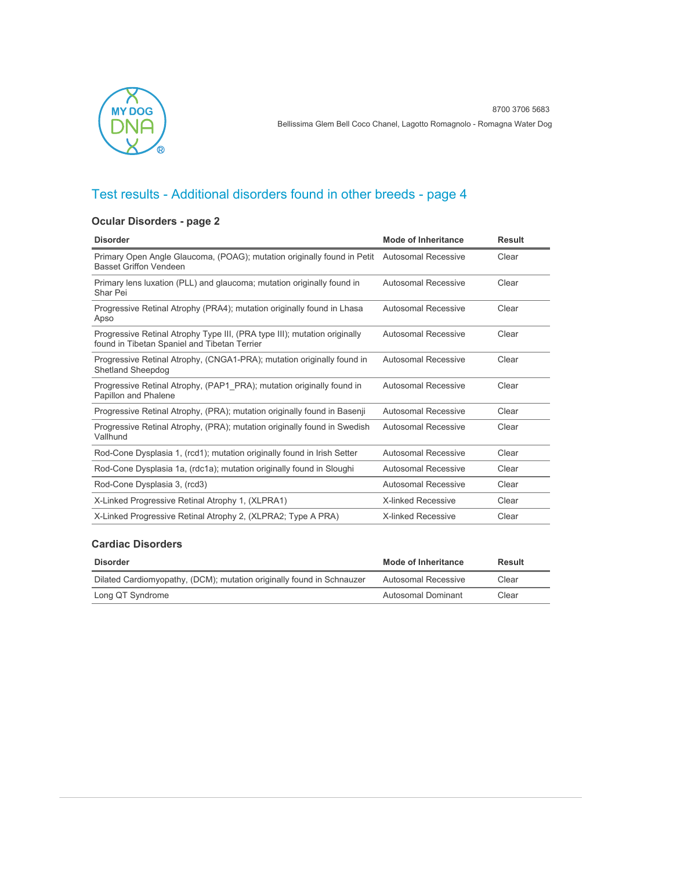

### **Ocular Disorders - page 2**

| <b>Disorder</b>                                                                                                              | <b>Mode of Inheritance</b> | <b>Result</b> |
|------------------------------------------------------------------------------------------------------------------------------|----------------------------|---------------|
| Primary Open Angle Glaucoma, (POAG); mutation originally found in Petit Autosomal Recessive<br><b>Basset Griffon Vendeen</b> |                            | Clear         |
| Primary lens luxation (PLL) and glaucoma; mutation originally found in<br>Shar Pei                                           | Autosomal Recessive        | Clear         |
| Progressive Retinal Atrophy (PRA4); mutation originally found in Lhasa<br>Apso                                               | <b>Autosomal Recessive</b> | Clear         |
| Progressive Retinal Atrophy Type III, (PRA type III); mutation originally<br>found in Tibetan Spaniel and Tibetan Terrier    | Autosomal Recessive        | Clear         |
| Progressive Retinal Atrophy, (CNGA1-PRA); mutation originally found in<br><b>Shetland Sheepdog</b>                           | Autosomal Recessive        | Clear         |
| Progressive Retinal Atrophy, (PAP1 PRA); mutation originally found in<br>Papillon and Phalene                                | Autosomal Recessive        | Clear         |
| Progressive Retinal Atrophy, (PRA); mutation originally found in Basenji                                                     | Autosomal Recessive        | Clear         |
| Progressive Retinal Atrophy, (PRA); mutation originally found in Swedish<br>Vallhund                                         | Autosomal Recessive        | Clear         |
| Rod-Cone Dysplasia 1, (rcd1); mutation originally found in Irish Setter                                                      | Autosomal Recessive        | Clear         |
| Rod-Cone Dysplasia 1a, (rdc1a); mutation originally found in Sloughi                                                         | Autosomal Recessive        | Clear         |
| Rod-Cone Dysplasia 3, (rcd3)                                                                                                 | Autosomal Recessive        | Clear         |
| X-Linked Progressive Retinal Atrophy 1, (XLPRA1)                                                                             | <b>X-linked Recessive</b>  | Clear         |
| X-Linked Progressive Retinal Atrophy 2, (XLPRA2; Type A PRA)                                                                 | <b>X-linked Recessive</b>  | Clear         |

#### **Cardiac Disorders**

| <b>Disorder</b>                                                       | Mode of Inheritance | Result |
|-----------------------------------------------------------------------|---------------------|--------|
| Dilated Cardiomyopathy, (DCM); mutation originally found in Schnauzer | Autosomal Recessive | Clear  |
| Long QT Syndrome                                                      | Autosomal Dominant  | Clear  |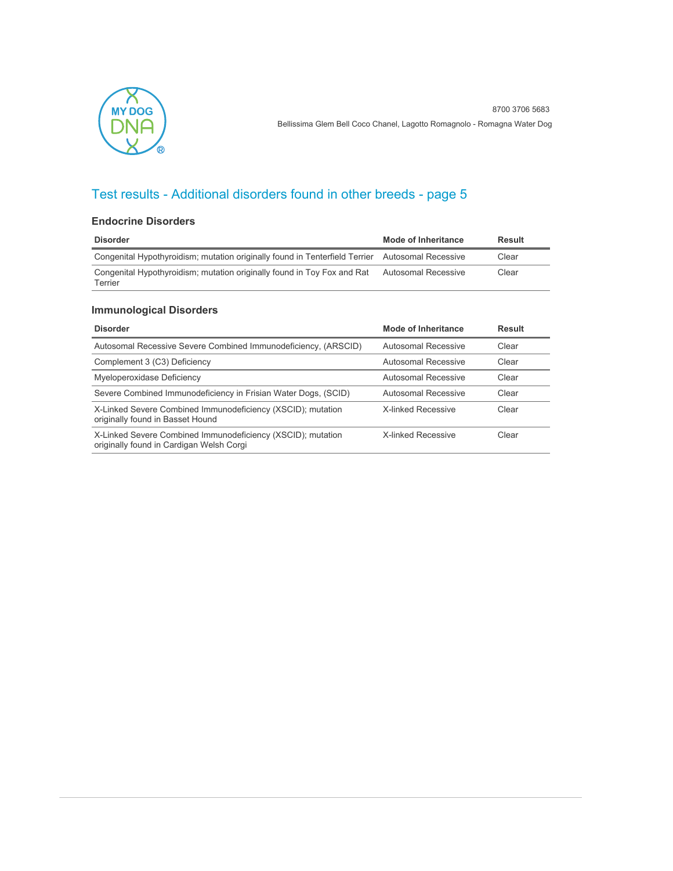

#### **Endocrine Disorders**

| <b>Disorder</b>                                                                                 | Mode of Inheritance | Result |
|-------------------------------------------------------------------------------------------------|---------------------|--------|
| Congenital Hypothyroidism; mutation originally found in Tenterfield Terrier Autosomal Recessive |                     | Clear  |
| Congenital Hypothyroidism; mutation originally found in Toy Fox and Rat<br>Terrier              | Autosomal Recessive | Clear  |

### **Immunological Disorders**

| <b>Disorder</b>                                                                                         | <b>Mode of Inheritance</b> | Result |
|---------------------------------------------------------------------------------------------------------|----------------------------|--------|
| Autosomal Recessive Severe Combined Immunodeficiency, (ARSCID)                                          | Autosomal Recessive        | Clear  |
| Complement 3 (C3) Deficiency                                                                            | Autosomal Recessive        | Clear  |
| Myeloperoxidase Deficiency                                                                              | Autosomal Recessive        | Clear  |
| Severe Combined Immunodeficiency in Frisian Water Dogs, (SCID)                                          | Autosomal Recessive        | Clear  |
| X-Linked Severe Combined Immunodeficiency (XSCID); mutation<br>originally found in Basset Hound         | <b>X-linked Recessive</b>  | Clear  |
| X-Linked Severe Combined Immunodeficiency (XSCID); mutation<br>originally found in Cardigan Welsh Corgi | <b>X-linked Recessive</b>  | Clear  |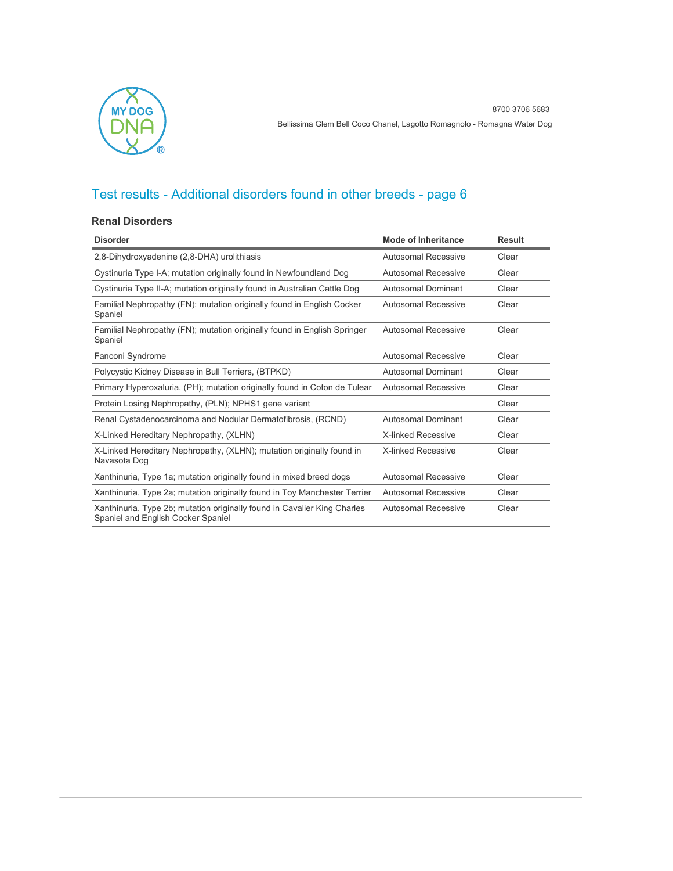

#### **Renal Disorders**

| <b>Disorder</b>                                                                                                | <b>Mode of Inheritance</b> | <b>Result</b> |
|----------------------------------------------------------------------------------------------------------------|----------------------------|---------------|
| 2,8-Dihydroxyadenine (2,8-DHA) urolithiasis                                                                    | Autosomal Recessive        | Clear         |
| Cystinuria Type I-A; mutation originally found in Newfoundland Dog                                             | Autosomal Recessive        | Clear         |
| Cystinuria Type II-A; mutation originally found in Australian Cattle Dog                                       | Autosomal Dominant         | Clear         |
| Familial Nephropathy (FN); mutation originally found in English Cocker<br>Spaniel                              | Autosomal Recessive        | Clear         |
| Familial Nephropathy (FN); mutation originally found in English Springer<br>Spaniel                            | <b>Autosomal Recessive</b> | Clear         |
| Fanconi Syndrome                                                                                               | <b>Autosomal Recessive</b> | Clear         |
| Polycystic Kidney Disease in Bull Terriers, (BTPKD)                                                            | <b>Autosomal Dominant</b>  | Clear         |
| Primary Hyperoxaluria, (PH); mutation originally found in Coton de Tulear                                      | Autosomal Recessive        | Clear         |
| Protein Losing Nephropathy, (PLN); NPHS1 gene variant                                                          |                            | Clear         |
| Renal Cystadenocarcinoma and Nodular Dermatofibrosis, (RCND)                                                   | Autosomal Dominant         | Clear         |
| X-Linked Hereditary Nephropathy, (XLHN)                                                                        | <b>X-linked Recessive</b>  | Clear         |
| X-Linked Hereditary Nephropathy, (XLHN); mutation originally found in<br>Navasota Dog                          | <b>X-linked Recessive</b>  | Clear         |
| Xanthinuria, Type 1a; mutation originally found in mixed breed dogs                                            | <b>Autosomal Recessive</b> | Clear         |
| Xanthinuria, Type 2a; mutation originally found in Toy Manchester Terrier                                      | <b>Autosomal Recessive</b> | Clear         |
| Xanthinuria, Type 2b; mutation originally found in Cavalier King Charles<br>Spaniel and English Cocker Spaniel | Autosomal Recessive        | Clear         |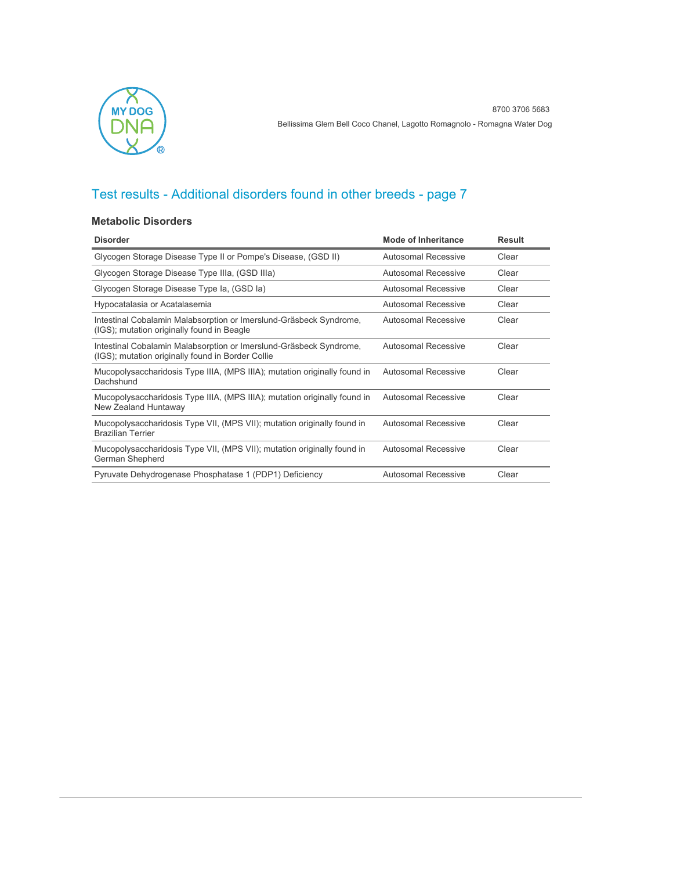

#### **Metabolic Disorders**

| <b>Disorder</b>                                                                                                         | <b>Mode of Inheritance</b> | <b>Result</b> |
|-------------------------------------------------------------------------------------------------------------------------|----------------------------|---------------|
| Glycogen Storage Disease Type II or Pompe's Disease, (GSD II)                                                           | <b>Autosomal Recessive</b> | Clear         |
| Glycogen Storage Disease Type IIIa, (GSD IIIa)                                                                          | Autosomal Recessive        | Clear         |
| Glycogen Storage Disease Type Ia, (GSD Ia)                                                                              | Autosomal Recessive        | Clear         |
| Hypocatalasia or Acatalasemia                                                                                           | Autosomal Recessive        | Clear         |
| Intestinal Cobalamin Malabsorption or Imerslund-Gräsbeck Syndrome,<br>(IGS); mutation originally found in Beagle        | Autosomal Recessive        | Clear         |
| Intestinal Cobalamin Malabsorption or Imerslund-Gräsbeck Syndrome,<br>(IGS); mutation originally found in Border Collie | Autosomal Recessive        | Clear         |
| Mucopolysaccharidosis Type IIIA, (MPS IIIA); mutation originally found in<br>Dachshund                                  | <b>Autosomal Recessive</b> | Clear         |
| Mucopolysaccharidosis Type IIIA, (MPS IIIA); mutation originally found in<br>New Zealand Huntaway                       | <b>Autosomal Recessive</b> | Clear         |
| Mucopolysaccharidosis Type VII, (MPS VII); mutation originally found in<br><b>Brazilian Terrier</b>                     | <b>Autosomal Recessive</b> | Clear         |
| Mucopolysaccharidosis Type VII, (MPS VII); mutation originally found in<br>German Shepherd                              | <b>Autosomal Recessive</b> | Clear         |
| Pyruvate Dehydrogenase Phosphatase 1 (PDP1) Deficiency                                                                  | <b>Autosomal Recessive</b> | Clear         |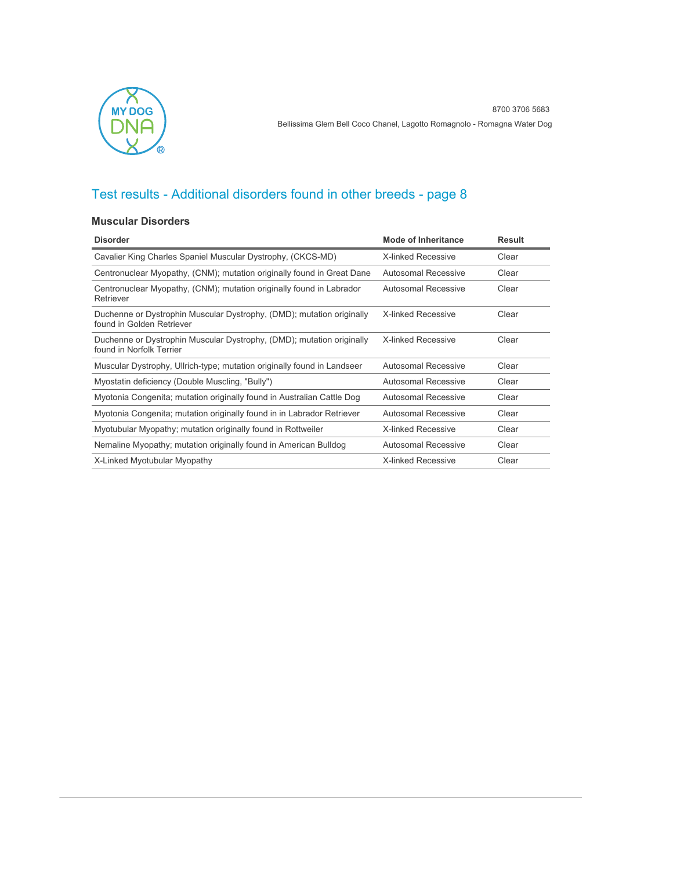

#### **Muscular Disorders**

| <b>Disorder</b>                                                                                    | Mode of Inheritance        | Result |
|----------------------------------------------------------------------------------------------------|----------------------------|--------|
| Cavalier King Charles Spaniel Muscular Dystrophy, (CKCS-MD)                                        | X-linked Recessive         | Clear  |
| Centronuclear Myopathy, (CNM); mutation originally found in Great Dane                             | Autosomal Recessive        | Clear  |
| Centronuclear Myopathy, (CNM); mutation originally found in Labrador<br>Retriever                  | Autosomal Recessive        | Clear  |
| Duchenne or Dystrophin Muscular Dystrophy, (DMD); mutation originally<br>found in Golden Retriever | <b>X-linked Recessive</b>  | Clear  |
| Duchenne or Dystrophin Muscular Dystrophy, (DMD); mutation originally<br>found in Norfolk Terrier  | <b>X-linked Recessive</b>  | Clear  |
| Muscular Dystrophy, Ullrich-type; mutation originally found in Landseer                            | Autosomal Recessive        | Clear  |
| Myostatin deficiency (Double Muscling, "Bully")                                                    | Autosomal Recessive        | Clear  |
| Myotonia Congenita; mutation originally found in Australian Cattle Dog                             | Autosomal Recessive        | Clear  |
| Myotonia Congenita; mutation originally found in in Labrador Retriever                             | Autosomal Recessive        | Clear  |
| Myotubular Myopathy; mutation originally found in Rottweiler                                       | <b>X-linked Recessive</b>  | Clear  |
| Nemaline Myopathy; mutation originally found in American Bulldog                                   | <b>Autosomal Recessive</b> | Clear  |
| X-Linked Myotubular Myopathy                                                                       | <b>X-linked Recessive</b>  | Clear  |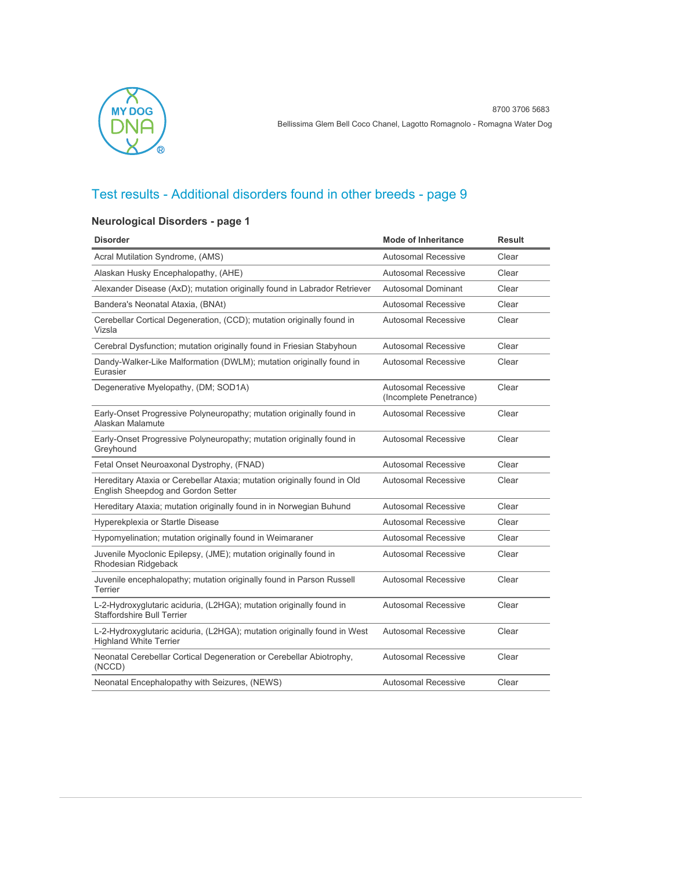

### **Neurological Disorders - page 1**

| <b>Disorder</b>                                                                                                | <b>Mode of Inheritance</b>                     | Result |
|----------------------------------------------------------------------------------------------------------------|------------------------------------------------|--------|
| Acral Mutilation Syndrome, (AMS)                                                                               | <b>Autosomal Recessive</b>                     | Clear  |
| Alaskan Husky Encephalopathy, (AHE)                                                                            | <b>Autosomal Recessive</b>                     | Clear  |
| Alexander Disease (AxD); mutation originally found in Labrador Retriever                                       | Autosomal Dominant                             | Clear  |
| Bandera's Neonatal Ataxia, (BNAt)                                                                              | Autosomal Recessive                            | Clear  |
| Cerebellar Cortical Degeneration, (CCD); mutation originally found in<br>Vizsla                                | Autosomal Recessive                            | Clear  |
| Cerebral Dysfunction; mutation originally found in Friesian Stabyhoun                                          | Autosomal Recessive                            | Clear  |
| Dandy-Walker-Like Malformation (DWLM); mutation originally found in<br>Eurasier                                | Autosomal Recessive                            | Clear  |
| Degenerative Myelopathy, (DM; SOD1A)                                                                           | Autosomal Recessive<br>(Incomplete Penetrance) | Clear  |
| Early-Onset Progressive Polyneuropathy; mutation originally found in<br>Alaskan Malamute                       | <b>Autosomal Recessive</b>                     | Clear  |
| Early-Onset Progressive Polyneuropathy; mutation originally found in<br>Greyhound                              | <b>Autosomal Recessive</b>                     | Clear  |
| Fetal Onset Neuroaxonal Dystrophy, (FNAD)                                                                      | <b>Autosomal Recessive</b>                     | Clear  |
| Hereditary Ataxia or Cerebellar Ataxia; mutation originally found in Old<br>English Sheepdog and Gordon Setter | Autosomal Recessive                            | Clear  |
| Hereditary Ataxia; mutation originally found in in Norwegian Buhund                                            | <b>Autosomal Recessive</b>                     | Clear  |
| Hyperekplexia or Startle Disease                                                                               | <b>Autosomal Recessive</b>                     | Clear  |
| Hypomyelination; mutation originally found in Weimaraner                                                       | <b>Autosomal Recessive</b>                     | Clear  |
| Juvenile Myoclonic Epilepsy, (JME); mutation originally found in<br>Rhodesian Ridgeback                        | Autosomal Recessive                            | Clear  |
| Juvenile encephalopathy; mutation originally found in Parson Russell<br>Terrier                                | <b>Autosomal Recessive</b>                     | Clear  |
| L-2-Hydroxyglutaric aciduria, (L2HGA); mutation originally found in<br>Staffordshire Bull Terrier              | <b>Autosomal Recessive</b>                     | Clear  |
| L-2-Hydroxyglutaric aciduria, (L2HGA); mutation originally found in West<br><b>Highland White Terrier</b>      | <b>Autosomal Recessive</b>                     | Clear  |
| Neonatal Cerebellar Cortical Degeneration or Cerebellar Abiotrophy,<br>(NCCD)                                  | Autosomal Recessive                            | Clear  |
| Neonatal Encephalopathy with Seizures, (NEWS)                                                                  | Autosomal Recessive                            | Clear  |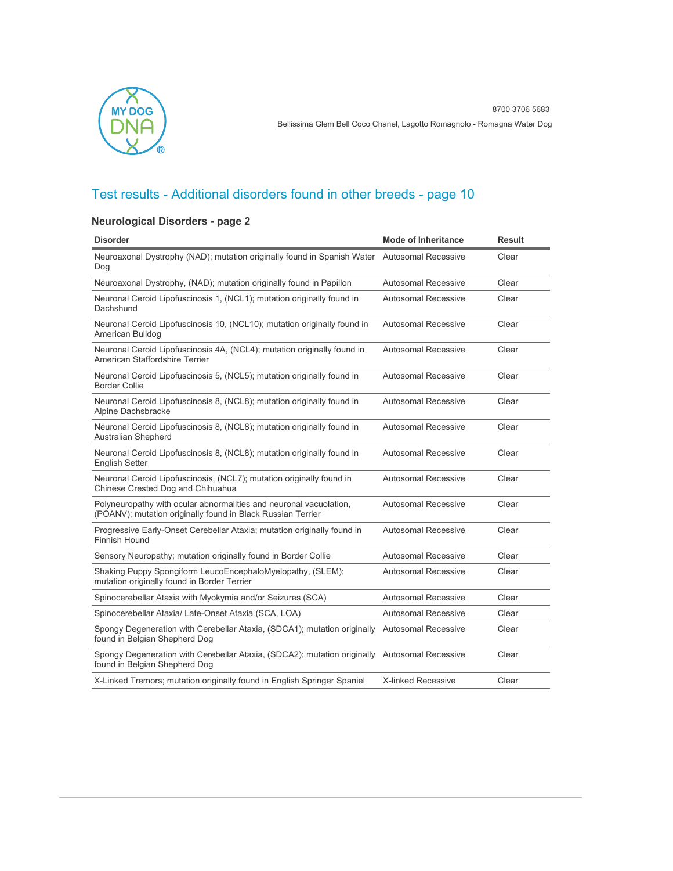

### **Neurological Disorders - page 2**

| <b>Disorder</b>                                                                                                                   | <b>Mode of Inheritance</b> | <b>Result</b> |
|-----------------------------------------------------------------------------------------------------------------------------------|----------------------------|---------------|
| Neuroaxonal Dystrophy (NAD); mutation originally found in Spanish Water Autosomal Recessive<br>Dog                                |                            | Clear         |
| Neuroaxonal Dystrophy, (NAD); mutation originally found in Papillon                                                               | <b>Autosomal Recessive</b> | Clear         |
| Neuronal Ceroid Lipofuscinosis 1, (NCL1); mutation originally found in<br>Dachshund                                               | Autosomal Recessive        | Clear         |
| Neuronal Ceroid Lipofuscinosis 10, (NCL10); mutation originally found in<br>American Bulldog                                      | <b>Autosomal Recessive</b> | Clear         |
| Neuronal Ceroid Lipofuscinosis 4A, (NCL4); mutation originally found in<br>American Staffordshire Terrier                         | <b>Autosomal Recessive</b> | Clear         |
| Neuronal Ceroid Lipofuscinosis 5, (NCL5); mutation originally found in<br><b>Border Collie</b>                                    | <b>Autosomal Recessive</b> | Clear         |
| Neuronal Ceroid Lipofuscinosis 8, (NCL8); mutation originally found in<br>Alpine Dachsbracke                                      | Autosomal Recessive        | Clear         |
| Neuronal Ceroid Lipofuscinosis 8, (NCL8); mutation originally found in<br><b>Australian Shepherd</b>                              | <b>Autosomal Recessive</b> | Clear         |
| Neuronal Ceroid Lipofuscinosis 8, (NCL8); mutation originally found in<br><b>English Setter</b>                                   | Autosomal Recessive        | Clear         |
| Neuronal Ceroid Lipofuscinosis, (NCL7); mutation originally found in<br>Chinese Crested Dog and Chihuahua                         | <b>Autosomal Recessive</b> | Clear         |
| Polyneuropathy with ocular abnormalities and neuronal vacuolation,<br>(POANV); mutation originally found in Black Russian Terrier | Autosomal Recessive        | Clear         |
| Progressive Early-Onset Cerebellar Ataxia; mutation originally found in<br><b>Finnish Hound</b>                                   | <b>Autosomal Recessive</b> | Clear         |
| Sensory Neuropathy; mutation originally found in Border Collie                                                                    | Autosomal Recessive        | Clear         |
| Shaking Puppy Spongiform LeucoEncephaloMyelopathy, (SLEM);<br>mutation originally found in Border Terrier                         | Autosomal Recessive        | Clear         |
| Spinocerebellar Ataxia with Myokymia and/or Seizures (SCA)                                                                        | <b>Autosomal Recessive</b> | Clear         |
| Spinocerebellar Ataxia/ Late-Onset Ataxia (SCA, LOA)                                                                              | Autosomal Recessive        | Clear         |
| Spongy Degeneration with Cerebellar Ataxia, (SDCA1); mutation originally Autosomal Recessive<br>found in Belgian Shepherd Dog     |                            | Clear         |
| Spongy Degeneration with Cerebellar Ataxia, (SDCA2); mutation originally Autosomal Recessive<br>found in Belgian Shepherd Dog     |                            | Clear         |
| X-Linked Tremors; mutation originally found in English Springer Spaniel                                                           | <b>X-linked Recessive</b>  | Clear         |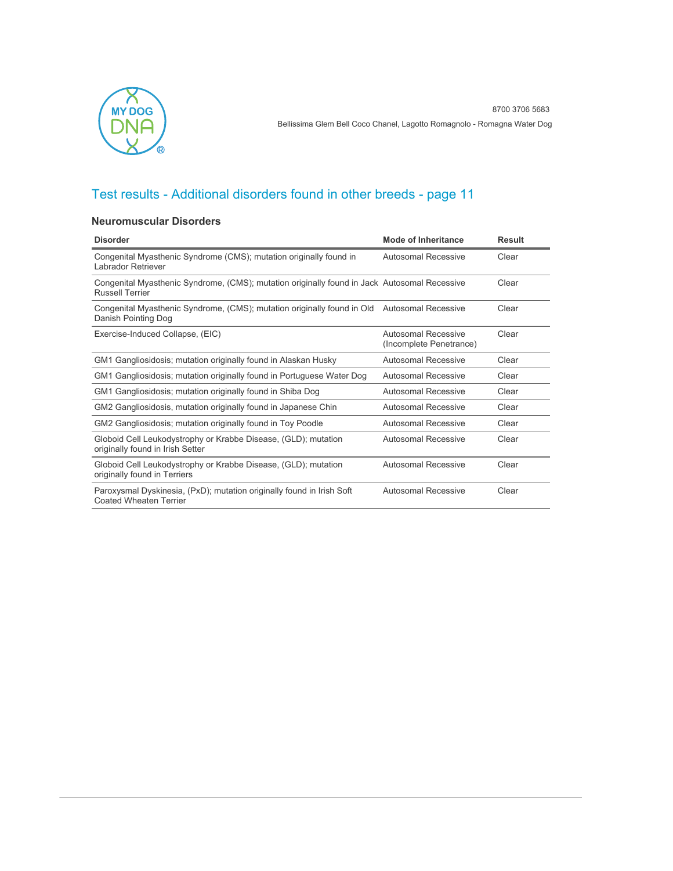

#### **Neuromuscular Disorders**

| <b>Disorder</b>                                                                                                        | <b>Mode of Inheritance</b>                     | <b>Result</b> |
|------------------------------------------------------------------------------------------------------------------------|------------------------------------------------|---------------|
| Congenital Myasthenic Syndrome (CMS); mutation originally found in<br>Labrador Retriever                               | Autosomal Recessive                            | Clear         |
| Congenital Myasthenic Syndrome, (CMS); mutation originally found in Jack Autosomal Recessive<br><b>Russell Terrier</b> |                                                | Clear         |
| Congenital Myasthenic Syndrome, (CMS); mutation originally found in Old<br>Danish Pointing Dog                         | <b>Autosomal Recessive</b>                     | Clear         |
| Exercise-Induced Collapse, (EIC)                                                                                       | Autosomal Recessive<br>(Incomplete Penetrance) | Clear         |
| GM1 Gangliosidosis; mutation originally found in Alaskan Husky                                                         | Autosomal Recessive                            | Clear         |
| GM1 Gangliosidosis; mutation originally found in Portuguese Water Dog                                                  | Autosomal Recessive                            | Clear         |
| GM1 Gangliosidosis; mutation originally found in Shiba Dog                                                             | Autosomal Recessive                            | Clear         |
| GM2 Gangliosidosis, mutation originally found in Japanese Chin                                                         | Autosomal Recessive                            | Clear         |
| GM2 Gangliosidosis; mutation originally found in Toy Poodle                                                            | Autosomal Recessive                            | Clear         |
| Globoid Cell Leukodystrophy or Krabbe Disease, (GLD); mutation<br>originally found in Irish Setter                     | Autosomal Recessive                            | Clear         |
| Globoid Cell Leukodystrophy or Krabbe Disease, (GLD); mutation<br>originally found in Terriers                         | Autosomal Recessive                            | Clear         |
| Paroxysmal Dyskinesia, (PxD); mutation originally found in Irish Soft<br><b>Coated Wheaten Terrier</b>                 | Autosomal Recessive                            | Clear         |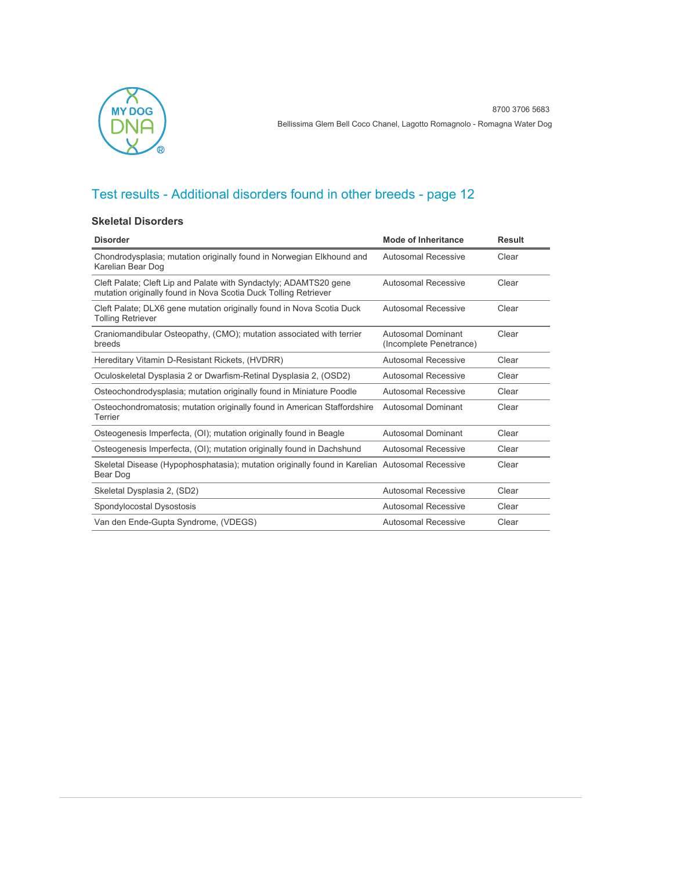

#### **Skeletal Disorders**

| <b>Disorder</b>                                                                                                                      | <b>Mode of Inheritance</b>                    | <b>Result</b> |
|--------------------------------------------------------------------------------------------------------------------------------------|-----------------------------------------------|---------------|
| Chondrodysplasia; mutation originally found in Norwegian Elkhound and<br>Karelian Bear Dog                                           | Autosomal Recessive                           | Clear         |
| Cleft Palate; Cleft Lip and Palate with Syndactyly; ADAMTS20 gene<br>mutation originally found in Nova Scotia Duck Tolling Retriever | Autosomal Recessive                           | Clear         |
| Cleft Palate; DLX6 gene mutation originally found in Nova Scotia Duck<br><b>Tolling Retriever</b>                                    | Autosomal Recessive                           | Clear         |
| Craniomandibular Osteopathy, (CMO); mutation associated with terrier<br>breeds                                                       | Autosomal Dominant<br>(Incomplete Penetrance) | Clear         |
| Hereditary Vitamin D-Resistant Rickets, (HVDRR)                                                                                      | Autosomal Recessive                           | Clear         |
| Oculoskeletal Dysplasia 2 or Dwarfism-Retinal Dysplasia 2, (OSD2)                                                                    | Autosomal Recessive                           | Clear         |
| Osteochondrodysplasia; mutation originally found in Miniature Poodle                                                                 | Autosomal Recessive                           | Clear         |
| Osteochondromatosis; mutation originally found in American Staffordshire<br>Terrier                                                  | <b>Autosomal Dominant</b>                     | Clear         |
| Osteogenesis Imperfecta, (OI); mutation originally found in Beagle                                                                   | Autosomal Dominant                            | Clear         |
| Osteogenesis Imperfecta, (OI); mutation originally found in Dachshund                                                                | <b>Autosomal Recessive</b>                    | Clear         |
| Skeletal Disease (Hypophosphatasia); mutation originally found in Karelian Autosomal Recessive<br>Bear Dog                           |                                               | Clear         |
| Skeletal Dysplasia 2, (SD2)                                                                                                          | Autosomal Recessive                           | Clear         |
| Spondylocostal Dysostosis                                                                                                            | Autosomal Recessive                           | Clear         |
| Van den Ende-Gupta Syndrome, (VDEGS)                                                                                                 | Autosomal Recessive                           | Clear         |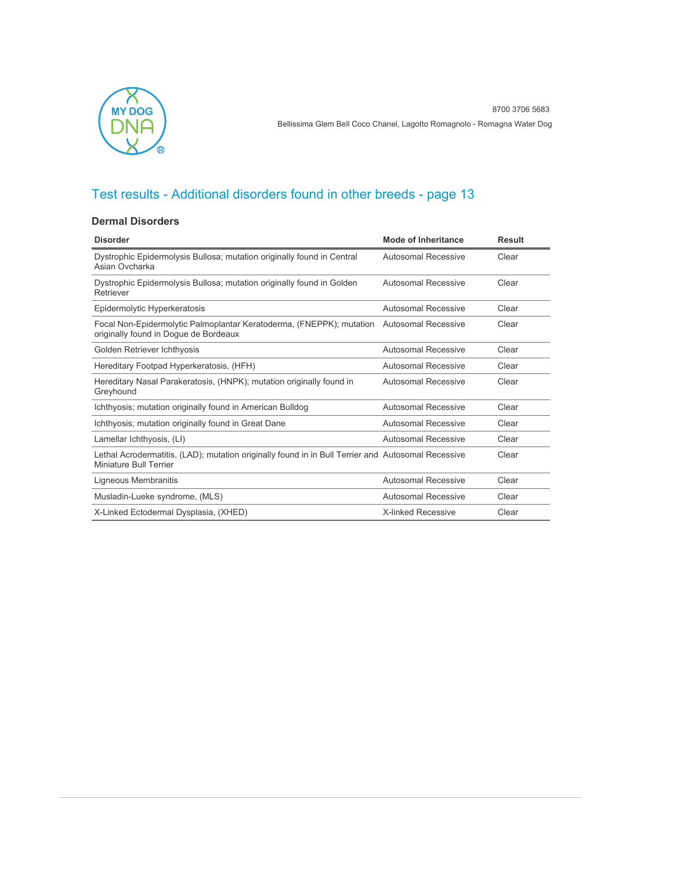

#### **Dermal Disorders**

| <b>Disorder</b>                                                                                                                   | <b>Mode of Inheritance</b> | <b>Result</b> |
|-----------------------------------------------------------------------------------------------------------------------------------|----------------------------|---------------|
| Dystrophic Epidermolysis Bullosa; mutation originally found in Central<br>Asian Ovcharka                                          | Autosomal Recessive        | Clear         |
| Dystrophic Epidermolysis Bullosa; mutation originally found in Golden<br>Retriever                                                | Autosomal Recessive        | Clear         |
| Epidermolytic Hyperkeratosis                                                                                                      | Autosomal Recessive        | Clear         |
| Focal Non-Epidermolytic Palmoplantar Keratoderma, (FNEPPK); mutation Autosomal Recessive<br>originally found in Dogue de Bordeaux |                            | Clear         |
| Golden Retriever Ichthyosis                                                                                                       | Autosomal Recessive        | Clear         |
| Hereditary Footpad Hyperkeratosis, (HFH)                                                                                          | Autosomal Recessive        | Clear         |
| Hereditary Nasal Parakeratosis, (HNPK); mutation originally found in<br>Greyhound                                                 | Autosomal Recessive        | Clear         |
| Ichthyosis; mutation originally found in American Bulldog                                                                         | Autosomal Recessive        | Clear         |
| Ichthyosis; mutation originally found in Great Dane                                                                               | Autosomal Recessive        | Clear         |
| Lamellar Ichthyosis, (LI)                                                                                                         | Autosomal Recessive        | Clear         |
| Lethal Acrodermatitis, (LAD); mutation originally found in in Bull Terrier and Autosomal Recessive<br>Miniature Bull Terrier      |                            | Clear         |
| Ligneous Membranitis                                                                                                              | Autosomal Recessive        | Clear         |
| Musladin-Lueke syndrome, (MLS)                                                                                                    | Autosomal Recessive        | Clear         |
| X-Linked Ectodermal Dysplasia, (XHED)                                                                                             | <b>X-linked Recessive</b>  | Clear         |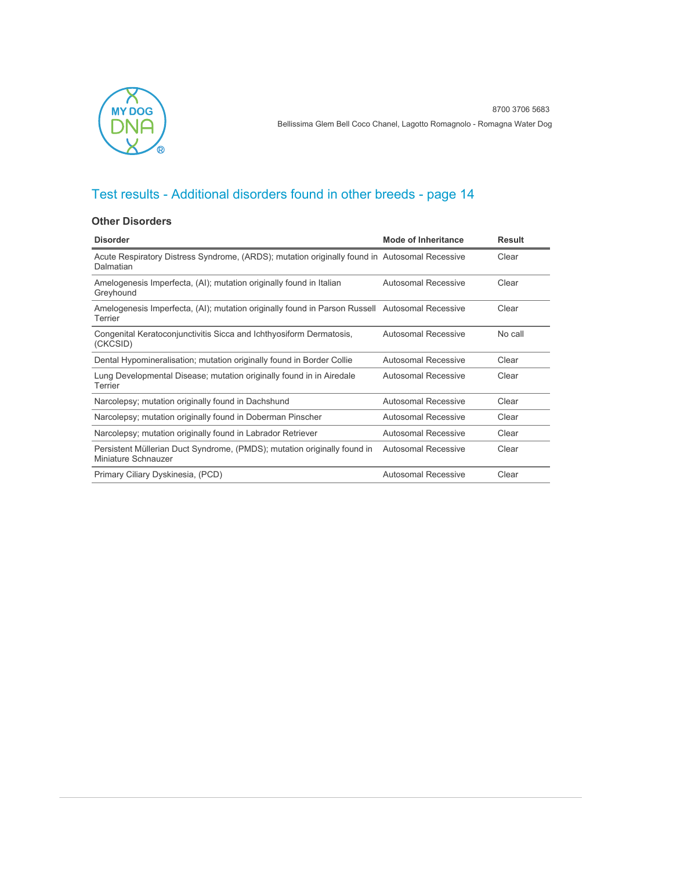

#### **Other Disorders**

| <b>Disorder</b>                                                                                            | <b>Mode of Inheritance</b> | <b>Result</b> |
|------------------------------------------------------------------------------------------------------------|----------------------------|---------------|
| Acute Respiratory Distress Syndrome, (ARDS); mutation originally found in Autosomal Recessive<br>Dalmatian |                            | Clear         |
| Amelogenesis Imperfecta, (AI); mutation originally found in Italian<br>Greyhound                           | Autosomal Recessive        | Clear         |
| Amelogenesis Imperfecta, (AI); mutation originally found in Parson Russell Autosomal Recessive<br>Terrier  |                            | Clear         |
| Congenital Keratoconjunctivitis Sicca and Ichthyosiform Dermatosis,<br>(CKCSID)                            | Autosomal Recessive        | No call       |
| Dental Hypomineralisation; mutation originally found in Border Collie                                      | Autosomal Recessive        | Clear         |
| Lung Developmental Disease; mutation originally found in in Airedale<br>Terrier                            | <b>Autosomal Recessive</b> | Clear         |
| Narcolepsy; mutation originally found in Dachshund                                                         | Autosomal Recessive        | Clear         |
| Narcolepsy; mutation originally found in Doberman Pinscher                                                 | Autosomal Recessive        | Clear         |
| Narcolepsy; mutation originally found in Labrador Retriever                                                | Autosomal Recessive        | Clear         |
| Persistent Müllerian Duct Syndrome, (PMDS); mutation originally found in<br>Miniature Schnauzer            | <b>Autosomal Recessive</b> | Clear         |
| Primary Ciliary Dyskinesia, (PCD)                                                                          | Autosomal Recessive        | Clear         |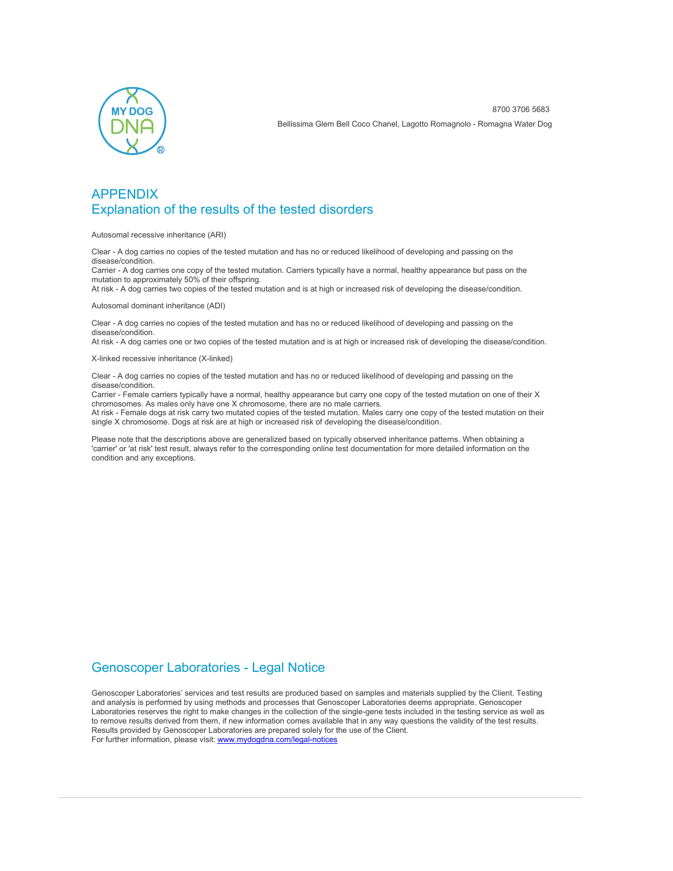

### APPENDIX Explanation of the results of the tested disorders

Autosomal recessive inheritance (ARI)

Clear - A dog carries no copies of the tested mutation and has no or reduced likelihood of developing and passing on the disease/condition.

Carrier - A dog carries one copy of the tested mutation. Carriers typically have a normal, healthy appearance but pass on the mutation to approximately 50% of their offspring.

At risk - A dog carries two copies of the tested mutation and is at high or increased risk of developing the disease/condition.

Autosomal dominant inheritance (ADI)

Clear - A dog carries no copies of the tested mutation and has no or reduced likelihood of developing and passing on the disease/condition.

At risk - A dog carries one or two copies of the tested mutation and is at high or increased risk of developing the disease/condition.

X-linked recessive inheritance (X-linked)

Clear - A dog carries no copies of the tested mutation and has no or reduced likelihood of developing and passing on the disease/condition.

Carrier - Female carriers typically have a normal, healthy appearance but carry one copy of the tested mutation on one of their X chromosomes. As males only have one X chromosome, there are no male carriers.

At risk - Female dogs at risk carry two mutated copies of the tested mutation. Males carry one copy of the tested mutation on their single X chromosome. Dogs at risk are at high or increased risk of developing the disease/condition.

Please note that the descriptions above are generalized based on typically observed inheritance patterns. When obtaining a 'carrier' or 'at risk' test result, always refer to the corresponding online test documentation for more detailed information on the condition and any exceptions.

### Genoscoper Laboratories - Legal Notice

Genoscoper Laboratories' services and test results are produced based on samples and materials supplied by the Client. Testing and analysis is performed by using methods and processes that Genoscoper Laboratories deems appropriate. Genoscoper Laboratories reserves the right to make changes in the collection of the single-gene tests included in the testing service as well as to remove results derived from them, if new information comes available that in any way questions the validity of the test results. Results provided by Genoscoper Laboratories are prepared solely for the use of the Client. For further information, please visit: [www.mydogdna.com/legal-notices](http://www.mydogdna.com/legal-notices)